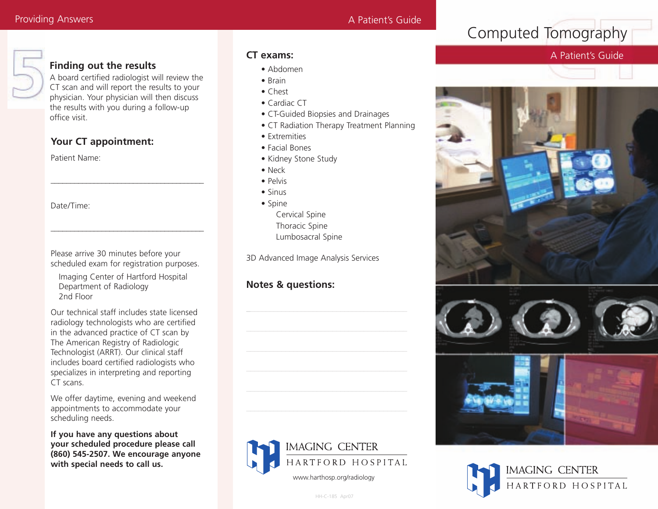#### Providing Answers **A Patient's Guide**



#### **Finding out the results**

A board certified radiologist will review the CT scan and will report the results to your physician. Your physician will then discuss the results with you during a follow-up office visit.

\_\_\_\_\_\_\_\_\_\_\_\_\_\_\_\_\_\_\_\_\_\_\_\_\_\_\_\_\_\_\_\_\_\_\_\_\_\_\_

\_\_\_\_\_\_\_\_\_\_\_\_\_\_\_\_\_\_\_\_\_\_\_\_\_\_\_\_\_\_\_\_\_\_\_\_\_\_\_

#### **Your CT appointment:**

Patient Name:

Date/Time:

Please arrive 30 minutes before your scheduled exam for registration purposes.

Imaging Center of Hartford Hospital Department of Radiology 2nd Floor

Our technical staff includes state licensed radiology technologists who are certified in the advanced practice of CT scan by The American Registry of Radiologic Technologist (ARRT). Our clinical staff includes board certified radiologists who specializes in interpreting and reporting CT scans.

We offer daytime, evening and weekend appointments to accommodate your scheduling needs.

**If you have any questions about your scheduled procedure please call (860) 545-2507. We encourage anyone with special needs to call us.**

#### **CT exams:**

- Abdomen
- Brain
- Chest
- Cardiac CT
- CT-Guided Biopsies and Drainages
- CT Radiation Therapy Treatment Planning
- Extremities
- Facial Bones
- Kidney Stone Study
- Neck
- Pelvis
- Sinus
- Spine
	- Cervical Spine Thoracic Spine Lumbosacral Spine

3D Advanced Image Analysis Services

#### **Notes & questions:**



HH-C-185 Apr07

# Computed Tomography